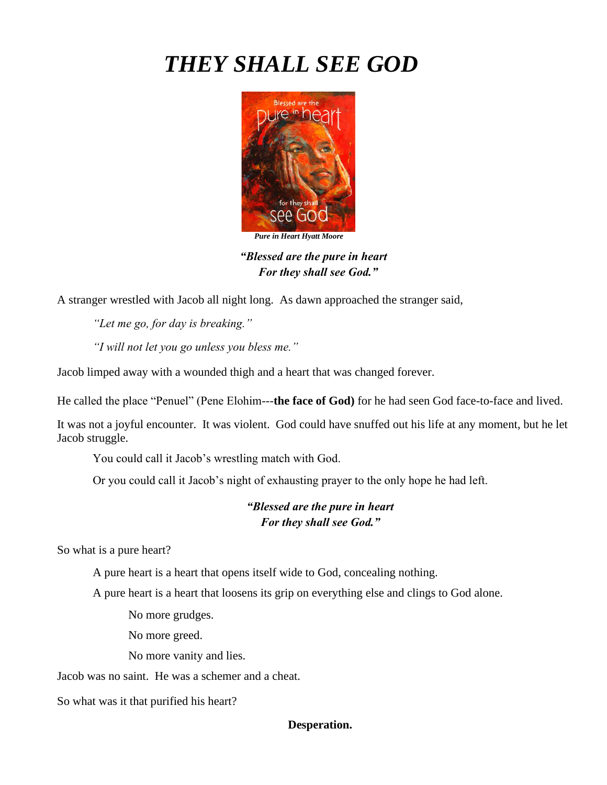# *THEY SHALL SEE GOD*



*Pure in Heart Hyatt Moore*

*"Blessed are the pure in heart For they shall see God."*

A stranger wrestled with Jacob all night long. As dawn approached the stranger said,

*"Let me go, for day is breaking."* 

*"I will not let you go unless you bless me."* 

Jacob limped away with a wounded thigh and a heart that was changed forever.

He called the place "Penuel" (Pene Elohim---**the face of God)** for he had seen God face-to-face and lived.

It was not a joyful encounter. It was violent. God could have snuffed out his life at any moment, but he let Jacob struggle.

You could call it Jacob's wrestling match with God.

Or you could call it Jacob's night of exhausting prayer to the only hope he had left.

## *"Blessed are the pure in heart For they shall see God."*

So what is a pure heart?

A pure heart is a heart that opens itself wide to God, concealing nothing.

A pure heart is a heart that loosens its grip on everything else and clings to God alone.

No more grudges.

No more greed.

No more vanity and lies.

Jacob was no saint. He was a schemer and a cheat.

So what was it that purified his heart?

#### **Desperation.**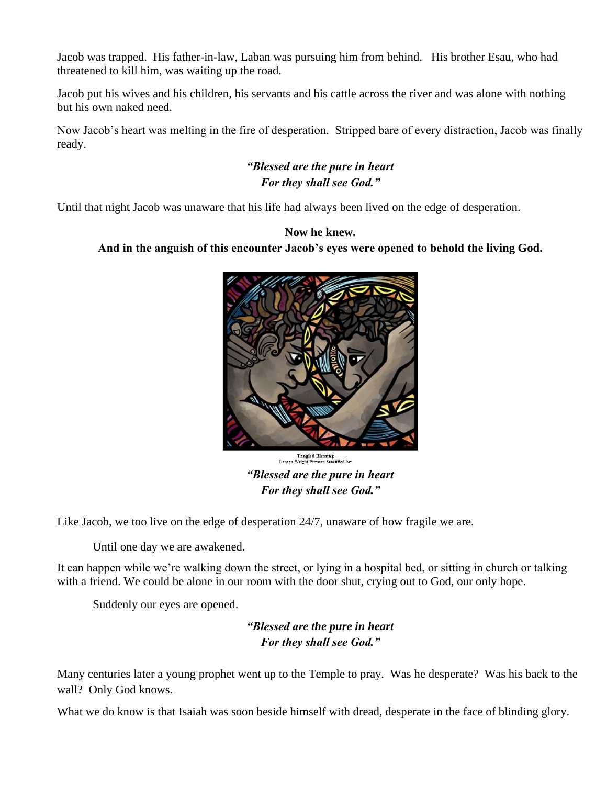Jacob was trapped. His father-in-law, Laban was pursuing him from behind. His brother Esau, who had threatened to kill him, was waiting up the road.

Jacob put his wives and his children, his servants and his cattle across the river and was alone with nothing but his own naked need.

Now Jacob's heart was melting in the fire of desperation. Stripped bare of every distraction, Jacob was finally ready.

## *"Blessed are the pure in heart For they shall see God."*

Until that night Jacob was unaware that his life had always been lived on the edge of desperation.

#### **Now he knew.**

#### **And in the anguish of this encounter Jacob's eyes were opened to behold the living God.**



**Tangled Blessing<br>Lauren Wright Pittman Sanctified Art** 

*"Blessed are the pure in heart For they shall see God."*

Like Jacob, we too live on the edge of desperation 24/7, unaware of how fragile we are.

Until one day we are awakened.

It can happen while we're walking down the street, or lying in a hospital bed, or sitting in church or talking with a friend. We could be alone in our room with the door shut, crying out to God, our only hope.

Suddenly our eyes are opened.

*"Blessed are the pure in heart For they shall see God."*

Many centuries later a young prophet went up to the Temple to pray. Was he desperate? Was his back to the wall? Only God knows.

What we do know is that Isaiah was soon beside himself with dread, desperate in the face of blinding glory.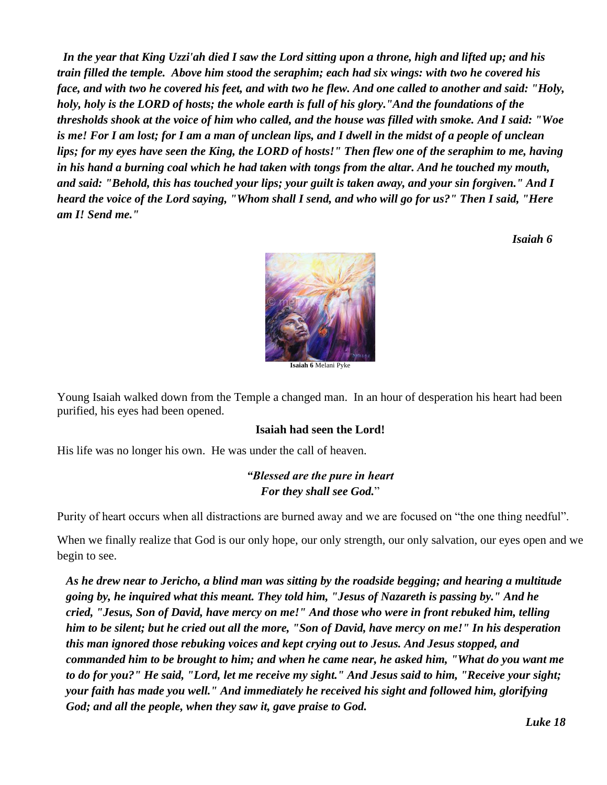*In the year that King Uzzi'ah died I saw the Lord sitting upon a throne, high and lifted up; and his train filled the temple. Above him stood the seraphim; each had six wings: with two he covered his face, and with two he covered his feet, and with two he flew. And one called to another and said: "Holy, holy, holy is the LORD of hosts; the whole earth is full of his glory."And the foundations of the thresholds shook at the voice of him who called, and the house was filled with smoke. And I said: "Woe is me! For I am lost; for I am a man of unclean lips, and I dwell in the midst of a people of unclean lips; for my eyes have seen the King, the LORD of hosts!" Then flew one of the seraphim to me, having in his hand a burning coal which he had taken with tongs from the altar. And he touched my mouth, and said: "Behold, this has touched your lips; your guilt is taken away, and your sin forgiven." And I heard the voice of the Lord saying, "Whom shall I send, and who will go for us?" Then I said, "Here am I! Send me."* 

*Isaiah 6*



Young Isaiah walked down from the Temple a changed man. In an hour of desperation his heart had been purified, his eyes had been opened.

### **Isaiah had seen the Lord!**

His life was no longer his own. He was under the call of heaven.

## *"Blessed are the pure in heart For they shall see God.*"

Purity of heart occurs when all distractions are burned away and we are focused on "the one thing needful".

When we finally realize that God is our only hope, our only strength, our only salvation, our eyes open and we begin to see.

*As he drew near to Jericho, a blind man was sitting by the roadside begging; and hearing a multitude going by, he inquired what this meant. They told him, "Jesus of Nazareth is passing by." And he cried, "Jesus, Son of David, have mercy on me!" And those who were in front rebuked him, telling him to be silent; but he cried out all the more, "Son of David, have mercy on me!" In his desperation this man ignored those rebuking voices and kept crying out to Jesus. And Jesus stopped, and commanded him to be brought to him; and when he came near, he asked him, "What do you want me to do for you?" He said, "Lord, let me receive my sight." And Jesus said to him, "Receive your sight; your faith has made you well." And immediately he received his sight and followed him, glorifying God; and all the people, when they saw it, gave praise to God.*

*Luke 18*